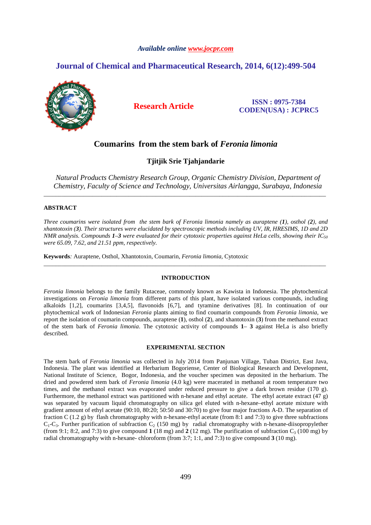## *Available online www.jocpr.com*

# **Journal of Chemical and Pharmaceutical Research, 2014, 6(12):499-504**



**Research Article ISSN : 0975-7384 CODEN(USA) : JCPRC5**

# **Coumarins from the stem bark of** *Feronia limonia*

**Tjitjik Srie Tjahjandarie**

*Natural Products Chemistry Research Group, Organic Chemistry Division, Department of Chemistry, Faculty of Science and Technology, Universitas Airlangga, Surabaya, Indonesia* 

\_\_\_\_\_\_\_\_\_\_\_\_\_\_\_\_\_\_\_\_\_\_\_\_\_\_\_\_\_\_\_\_\_\_\_\_\_\_\_\_\_\_\_\_\_\_\_\_\_\_\_\_\_\_\_\_\_\_\_\_\_\_\_\_\_\_\_\_\_\_\_\_\_\_\_\_\_\_\_\_\_\_\_\_\_\_\_\_\_\_\_\_\_

### **ABSTRACT**

*Three coumarins were isolated from the stem bark of Feronia limonia namely as auraptene (1), osthol (2), and xhantotoxin (3). Their structures were elucidated by spectroscopic methods including UV, IR, HRESIMS, 1D and 2D NMR analysis. Compounds 1–3 were evaluated for their cytotoxic properties against HeLa cells, showing their IC<sup>50</sup> were 65.09, 7.62, and 21.51 ppm, respectively.* 

**Keywords***:* Auraptene, Osthol, Xhantotoxin, Coumarin, *Feronia limonia,* Cytotoxic

## **INTRODUCTION**

\_\_\_\_\_\_\_\_\_\_\_\_\_\_\_\_\_\_\_\_\_\_\_\_\_\_\_\_\_\_\_\_\_\_\_\_\_\_\_\_\_\_\_\_\_\_\_\_\_\_\_\_\_\_\_\_\_\_\_\_\_\_\_\_\_\_\_\_\_\_\_\_\_\_\_\_\_\_\_\_\_\_\_\_\_\_\_\_\_\_\_\_\_

*Feronia limonia* belongs to the family Rutaceae, commonly known as Kawista in Indonesia. The phytochemical investigations on *Feronia limonia* from different parts of this plant, have isolated various compounds, including alkaloids [1,2], coumarins [3,4,5], flavonoids [6,7], and tyramine derivatives [8]. In continuation of our phytochemical work of Indonesian *Feronia* plants aiming to find coumarin compounds from *Feronia limonia*, we report the isolation of coumarin compounds, auraptene (**1**), osthol (**2**), and xhantotoxin (**3**) from the methanol extract of the stem bark of *Feronia limonia*. The cytotoxic activity of compounds **1**– **3** against HeLa is also briefly described.

#### **EXPERIMENTAL SECTION**

The stem bark of *Feronia limonia* was collected in July 2014 from Panjunan Village, Tuban District, East Java, Indonesia. The plant was identified at Herbarium Bogoriense, Center of Biological Research and Development, National Institute of Science, Bogor, Indonesia, and the voucher specimen was deposited in the herbarium. The dried and powdered stem bark of *Feronia limonia* (4.0 kg) were macerated in methanol at room temperature two times, and the methanol extract was evaporated under reduced pressure to give a dark brown residue (170 g). Furthermore, the methanol extract was partitioned with n-hexane and ethyl acetate. The ethyl acetate extract (47 g) was separated by vacuum liquid chromatography on silica gel eluted with n-hexane–ethyl acetate mixture with gradient amount of ethyl acetate (90:10, 80:20; 50:50 and 30:70) to give four major fractions A-D. The separation of fraction C (1.2 g) by flash chromatography with n-hexane-ethyl acetate (from 8:1 and 7:3) to give three subfractions  $C_1-C_3$ . Further purification of subfraction  $C_2$  (150 mg) by radial chromatography with n-hexane-diisopropylether (from 9:1; 8:2, and 7:3) to give compound  $1$  (18 mg) and  $2$  (12 mg). The purification of subfraction  $C_3$  (100 mg) by radial chromatography with n-hexane- chloroform (from 3:7; 1:1, and 7:3) to give compound **3** (10 mg).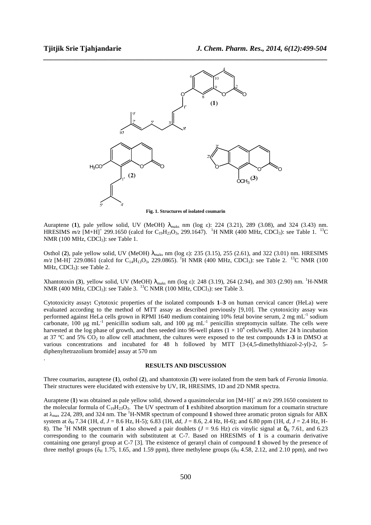.



*\_\_\_\_\_\_\_\_\_\_\_\_\_\_\_\_\_\_\_\_\_\_\_\_\_\_\_\_\_\_\_\_\_\_\_\_\_\_\_\_\_\_\_\_\_\_\_\_\_\_\_\_\_\_\_\_\_\_\_\_\_\_\_\_\_\_\_\_\_\_\_\_\_\_\_\_\_\_*

**Fig. 1. Structures of isolated coumarin** 

Auraptene (**1**), pale yellow solid, UV (MeOH) λmaks nm (log ε): 224 (3.21), 289 (3.08), and 324 (3.43) nm. HRESIMS  $m/z$  [M+H]<sup>+</sup> 299.1650 (calcd for C<sub>19</sub>H<sub>23</sub>O<sub>3</sub>, 299.1647). <sup>1</sup>H NMR (400 MHz, CDCl<sub>3</sub>): see Table 1. <sup>13</sup>C NMR (100 MHz,  $CDCl<sub>3</sub>$ ): see Table 1.

Osthol (**2**), pale yellow solid, UV (MeOH) λmaks nm (log ε): 235 (3.15), 255 (2.61), and 322 (3.01) nm. HRESIMS  $m/z$  [M-H]<sup>-229</sup>.0861 (calcd for C<sub>14</sub>H<sub>13</sub>O<sub>3</sub>, 229.0865). <sup>1</sup>H NMR (400 MHz, CDCl<sub>3</sub>): see Table 2. <sup>13</sup>C NMR (100 MHz,  $CDCl<sub>3</sub>$ ): see Table 2.

Xhantotoxin (3), yellow solid, UV (MeOH)  $\lambda_{\text{maks}}$  nm (log ε): 248 (3.19), 264 (2.94), and 303 (2.90) nm. <sup>1</sup>H-NMR NMR (400 MHz, CDCl<sub>3</sub>): see Table 3. <sup>13</sup>C NMR (100 MHz, CDCl<sub>3</sub>): see Table 3.

Cytotoxicity assay**:** Cytotoxic properties of the isolated compounds **1**–**3** on human cervical cancer (HeLa) were evaluated according to the method of MTT assay as described previously [9,10]. The cytotoxicity assay was performed against HeLa cells grown in RPMI 1640 medium containing 10% fetal bovine serum, 2 mg mL-1 sodium carbonate, 100 µg mL<sup>-1</sup> penicillin sodium salt, and 100 µg mL<sup>-1</sup> penicillin streptomycin sulfate. The cells were harvested at the log phase of growth, and then seeded into 96-well plates  $(1 \times 10^4$  cells/well). After 24 h incubation at 37 ºC and 5% CO2 to allow cell attachment, the cultures were exposed to the test compounds **1**-**3** in DMSO at various concentrations and incubated for 48 h followed by MTT [3-(4,5-dimethylthiazol-2-yl)-2, 5 diphenyltetrazolium bromide] assay at 570 nm

#### **RESULTS AND DISCUSSION**

Three coumarins, auraptene (**1**), osthol (**2**), and xhantotoxin (**3**) were isolated from the stem bark of *Feronia limonia*. Their structures were elucidated with extensive by UV, IR, HRESIMS, 1D and 2D NMR spectra.

Auraptene (1) was obtained as pale yellow solid, showed a quasimolecular ion  $[M+H]$ <sup>+</sup> at  $m/z$  299.1650 consistent to the molecular formula of  $C_{19}H_{23}O_3$ . The UV spectrum of 1 exhibited absorption maximum for a coumarin structure at  $\lambda_{\text{max}}$  224, 289, and 324 nm. The <sup>1</sup>H-NMR spectrum of compound 1 showed three aromatic proton signals for ABX system at  $\delta_H$  7.34 (1H, *d*, *J* = 8.6 Hz, H-5); 6.83 (1H, *dd*, *J* = 8.6, 2.4 Hz, H-6); and 6.80 ppm (1H, *d*, *J* = 2.4 Hz, H-8). The <sup>1</sup>H NMR spectrum of **1** also showed a pair doublets ( $J = 9.6$  Hz) *cis* vinylic signal at  $\delta_H$  7.61, and 6.23 corresponding to the coumarin with substitutent at C-7. Based on HRESIMS of **1** is a coumarin derivative containing one geranyl group at C-7 [3]. The existence of geranyl chain of compound **1** showed by the presence of three methyl groups ( $\delta_H$  1.75, 1.65, and 1.59 ppm), three methylene groups ( $\delta_H$  4.58, 2.12, and 2.10 ppm), and two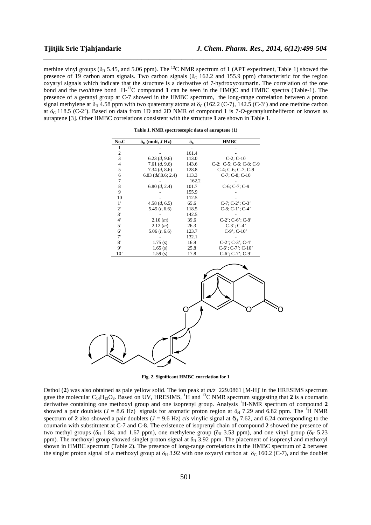methine vinyl groups ( $\delta_H$  5.45, and 5.06 ppm). The <sup>13</sup>C NMR spectrum of **1** (APT experiment, Table 1) showed the presence of 19 carbon atom signals. Two carbon signals ( $\delta_c$  162.2 and 155.9 ppm) characteristic for the region oxyaryl signals which indicate that the structure is a derivative of 7-hydroxycoumarin. The correlation of the one bond and the two/three bond <sup>1</sup>H-<sup>13</sup>C compound **1** can be seen in the HMQC and HMBC spectra (Table-1). The presence of a geranyl group at C-7 showed in the HMBC spectrum, the long-range correlation between a proton signal methylene at  $\delta_H$  4.58 ppm with two quaternary atoms at  $\delta_C$  (162.2 (C-7), 142.5 (C-3') and one methine carbon at δ<sub>C</sub> 118.5 (C-2'). Based on data from 1D and 2D NMR of compound 1 is 7-*O*-geranylumbeliferon or known as auraptene [3]. Other HMBC correlations consistent with the structure **1** are shown in Table 1.

*\_\_\_\_\_\_\_\_\_\_\_\_\_\_\_\_\_\_\_\_\_\_\_\_\_\_\_\_\_\_\_\_\_\_\_\_\_\_\_\_\_\_\_\_\_\_\_\_\_\_\_\_\_\_\_\_\_\_\_\_\_\_\_\_\_\_\_\_\_\_\_\_\_\_\_\_\_\_*

| No.C           | $\delta_{\rm H}$ (mult, J Hz) | $\delta_{\rm C}$ | <b>HMBC</b>                           |
|----------------|-------------------------------|------------------|---------------------------------------|
|                |                               |                  |                                       |
| 2              |                               | 161.4            |                                       |
| 3              | 6.23(d, 9.6)                  | 113.0            | $C-2$ ; $C-10$                        |
| $\overline{4}$ | 7.61 $(d, 9.6)$               | 143.6            | $C-2$ ; $C-5$ ; $C-6$ ; $C-8$ ; $C-9$ |
| 5              | 7.34 (d, 8.6)                 | 128.8            | $C-4$ ; $C-6$ ; $C-7$ ; $C-9$         |
| 6              | $6.83$ (dd, $8.6$ ; 2.4)      | 113.3            | $C-7$ ; $C-8$ ; $C-10$                |
| 7              |                               | 162.2            |                                       |
| 8              | 6.80 (d, 2.4)                 | 101.7            | $C-6$ ; $C-7$ ; $C-9$                 |
| 9              |                               | 155.9            |                                       |
| 10             |                               | 112.5            |                                       |
| $1^{\circ}$    | 4.58(d, 6.5)                  | 65.6             | $C-7$ ; $C-2$ '; $C-3$ '              |
| $2^,$          | 5.45(t, 6.6)                  | 118.5            | $C-8$ ; $C-1$ '; $C-4$ '              |
| 3'             |                               | 142.5            |                                       |
| $4^{\circ}$    | 2.10(m)                       | 39.6             | $C-2$ ; $C-6$ ; $C-8$                 |
| 5'             | 2.12(m)                       | 26.3             | $C-3$ ; $C-4$                         |
| 6'             | 5.06(t, 6.6)                  | 123.7            | $C-9'$ , $C-10'$                      |
| $7^,$          |                               | 132.1            |                                       |
| 8'             | 1.75(s)                       | 16.9             | $C-2$ ; $C-3$ , $C-4$                 |
| 9,             | 1.65(s)                       | 25.8             | $C-6$ ; $C-7$ ; $C-10$                |
| $10^{\circ}$   | 1.59(s)                       | 17.8             | $C-6$ ; $C-7$ ; $C-9$                 |





**Fig. 2. Significant HMBC correlation for 1**

Osthol (2) was also obtained as pale yellow solid. The ion peak at  $m/z$  229.0861 [M-H]<sup>-</sup> in the HRESIMS spectrum gave the molecular  $C_{14}H_{13}O_3$ . Based on UV, HRESIMS, <sup>1</sup>H and <sup>13</sup>C NMR spectrum suggesting that **2** is a coumarin derivative containing one methoxyl group and one isoprenyl group. Analysis <sup>1</sup>H-NMR spectrum of compound **2** showed a pair doublets ( $J = 8.6$  Hz) signals for aromatic proton region at  $\delta_H$  7.29 and 6.82 ppm. The <sup>1</sup>H NMR spectrum of 2 also showed a pair doublets ( $J = 9.6$  Hz) *cis* vinylic signal at  $\delta_H$  7.62, and 6.24 corresponding to the coumarin with substitutent at C-7 and C-8. The existence of isoprenyl chain of compound **2** showed the presence of two methyl groups ( $\delta_H$  1.84, and 1.67 ppm), one methylene group ( $\delta_H$  3.53 ppm), and one vinyl group ( $\delta_H$  5.23 ppm). The methoxyl group showed singlet proton signal at  $\delta_H$  3.92 ppm. The placement of isoprenyl and methoxyl shown in HMBC spectrum (Table 2). The presence of long-range correlations in the HMBC spectrum of **2** between the singlet proton signal of a methoxyl group at  $\delta_H$  3.92 with one oxyaryl carbon at  $\delta_C$  160.2 (C-7), and the doublet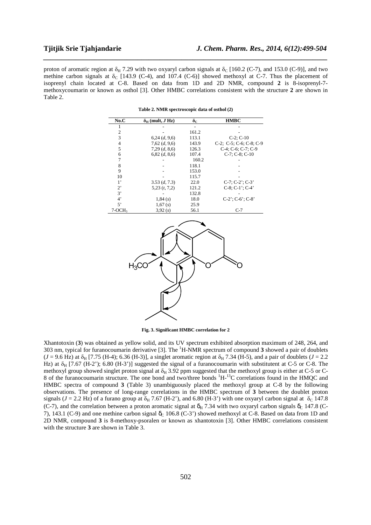proton of aromatic region at  $\delta_H$  7.29 with two oxyaryl carbon signals at  $\delta_C$  [160.2 (C-7), and 153.0 (C-9)], and two methine carbon signals at  $\delta_c$  [143.9 (C-4), and 107.4 (C-6)] showed methoxyl at C-7. Thus the placement of isoprenyl chain located at C-8. Based on data from 1D and 2D NMR, compound **2** is 8-isoprenyl-7 methoxycoumarin or known as osthol [3]. Other HMBC correlations consistent with the structure **2** are shown in Table 2.

*\_\_\_\_\_\_\_\_\_\_\_\_\_\_\_\_\_\_\_\_\_\_\_\_\_\_\_\_\_\_\_\_\_\_\_\_\_\_\_\_\_\_\_\_\_\_\_\_\_\_\_\_\_\_\_\_\_\_\_\_\_\_\_\_\_\_\_\_\_\_\_\_\_\_\_\_\_\_*

| No.C        | $\delta_{\rm H}$ (mult, J Hz) | $\delta_{\rm C}$ | <b>HMBC</b>                           |
|-------------|-------------------------------|------------------|---------------------------------------|
|             |                               |                  |                                       |
| 2           |                               | 161.2            |                                       |
| 3           | 6,24(d, 9,6)                  | 113.1            | $C-2$ ; $C-10$                        |
| 4           | $7,62$ $(d, 9,6)$             | 143.9            | $C-2$ ; $C-5$ ; $C-6$ ; $C-8$ ; $C-9$ |
| 5           | $7,29$ $(d, 8,6)$             | 126.3            | $C-4$ ; $C-6$ ; $C-7$ ; $C-9$         |
| 6           | $6,82$ $(d, 8,6)$             | 107.4            | $C-7$ ; $C-8$ ; $C-10$                |
| 7           |                               | 160.2            |                                       |
| 8           |                               | 118.1            |                                       |
| 9           |                               | 153.0            |                                       |
| 10          |                               | 115.7            |                                       |
| $1^{\circ}$ | 3.53(d, 7.3)                  | 22.0             | $C-7$ ; $C-2$ '; $C-3$ '              |
| $2^{\circ}$ | $5,23$ $(t, 7,2)$             | 121.2            | $C-8$ ; $C-1$ '; $C-4$ '              |
| 3'          |                               | 132.8            |                                       |
| $4^"$       | 1,84(s)                       | 18.0             | $C-2$ ; $C-6$ ; $C-8$                 |
| 5'          | 1,67(s)                       | 25.9             |                                       |
| $7-OCH3$    | 3,92(s)                       | 56.1             | $C-7$                                 |

**Table 2. NMR spectroscopic data of osthol (2)** 



**Fig. 3. Significant HMBC correlation for 2**

Xhantotoxin (**3**) was obtained as yellow solid, and its UV spectrum exhibited absorption maximum of 248, 264, and 303 nm, typical for furanocoumarin derivative [3]. The <sup>1</sup>H-NMR spectrum of compound **3** showed a pair of doublets  $(J = 9.6 \text{ Hz})$  at  $\delta_H$  [7.75 (H-4); 6.36 (H-3)], a singlet aromatic region at  $\delta_H$  7.34 (H-5), and a pair of doublets ( $J = 2.2$ Hz) at  $\delta_H$  [7.67 (H-2'); 6.80 (H-3')] suggested the signal of a furanocoumarin with substitutent at C-5 or C-8. The methoxyl group showed singlet proton signal at  $\delta_H$  3.92 ppm suggested that the methoxyl group is either at C-5 or C-8 of the furanocoumarin structure. The one bond and two/three bonds <sup>1</sup>H-<sup>13</sup>C correlations found in the HMQC and HMBC spectra of compound **3** (Table 3) unambiguously placed the methoxyl group at C-8 by the following observations. The presence of long-range correlations in the HMBC spectrum of **3** between the doublet proton signals ( $J = 2.2$  Hz) of a furano group at  $\delta_H$  7.67 (H-2'), and 6.80 (H-3') with one oxyaryl carbon signal at  $\delta_C$  147.8 (C-7), and the correlation between a proton aromatic signal at  $\delta_H$  7.34 with two oxyaryl carbon signals  $\delta_C$  147.8 (C-7), 143.1 (C-9) and one methine carbon signal  $\delta_c$  106.8 (C-3') showed methoxyl at C-8. Based on data from 1D and 2D NMR, compound **3** is 8-methoxy-psoralen or known as xhantotoxin [3]. Other HMBC correlations consistent with the structure **3** are shown in Table 3.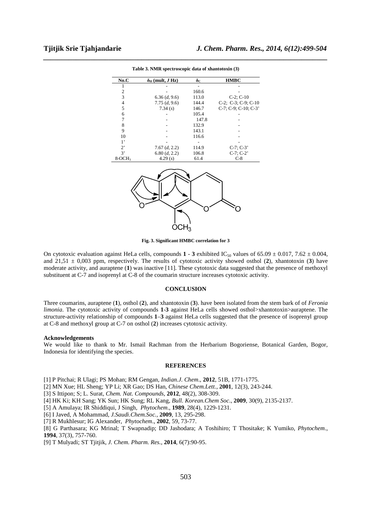| No.C        | $\delta_H$ (mult, J Hz) | $\delta_{\rm C}$ | <b>HMBC</b>                      |
|-------------|-------------------------|------------------|----------------------------------|
|             |                         |                  |                                  |
| 2           |                         | 160.6            |                                  |
| 3           | 6.36 (d, 9.6)           | 113.0            | $C-2$ ; $C-10$                   |
| 4           | 7.75(d, 9.6)            | 144.4            | $C-2$ ; $C-3$ ; $C-9$ ; $C-10$   |
| 5           | 7.34(s)                 | 146.7            | $C-7$ ; $C-9$ ; $C-10$ ; $C-3$ ' |
| 6           |                         | 105.4            |                                  |
| 7           |                         | 147.8            |                                  |
| 8           |                         | 132.9            |                                  |
| 9           |                         | 143.1            |                                  |
| 10          |                         | 116.6            |                                  |
| $1^,$       |                         |                  |                                  |
| $2^{\circ}$ | 7.67 (d, 2.2)           | 114.9            | $C-7$ ; $C-3$                    |
| 3'          | 6.80 (d, 2.2)           | 106.8            | $C-7$ ; $C-2$ '                  |
| $8-OCH3$    | 4.29(s)                 | 61.4             | $C-8$                            |

*\_\_\_\_\_\_\_\_\_\_\_\_\_\_\_\_\_\_\_\_\_\_\_\_\_\_\_\_\_\_\_\_\_\_\_\_\_\_\_\_\_\_\_\_\_\_\_\_\_\_\_\_\_\_\_\_\_\_\_\_\_\_\_\_\_\_\_\_\_\_\_\_\_\_\_\_\_\_* **Table 3. NMR spectroscopic data of xhantotoxin (3)** 



**Fig. 3. Significant HMBC correlation for 3**

On cytotoxic evaluation against HeLa cells, compounds  $1 - 3$  exhibited IC<sub>50</sub> values of 65.09  $\pm$  0.017, 7.62  $\pm$  0.004, and  $21,51 \pm 0,003$  ppm, respectively. The results of cytotoxic activity showed osthol (2), xhantotoxin (3) have moderate activity, and auraptene (**1**) was inactive [11]. These cytotoxic data suggested that the presence of methoxyl substituent at C-7 and isoprenyl at C-8 of the coumarin structure increases cytotoxic activity.

#### **CONCLUSION**

Three coumarins, auraptene (**1**), osthol (**2**), and xhantotoxin (**3**). have been isolated from the stem bark of of *Feronia limonia*. The cytotoxic activity of compounds **1**-**3** against HeLa cells showed osthol>xhantotoxin>auraptene. The structure-activity relationship of compounds **1**–**3** against HeLa cells suggested that the presence of isoprenyl group at C-8 and methoxyl group at C-7 on osthol (**2**) increases cytotoxic activity.

#### **Acknowledgements**

We would like to thank to Mr. Ismail Rachman from the Herbarium Bogoriense, Botanical Garden, Bogor, Indonesia for identifying the species.

### **REFERENCES**

[1] P Pitchai; R Ulagi; PS Mohan; RM Gengan, *Indian.J. Chem*., **2012**, 51B, 1771-1775.

- [2] MN Xue; HL Sheng; YP Li; XR Gao; DS Han, *Chinese Chem.Lett.*, **2001**, 12(3), 243-244.
- [3] S Ittipon; S; L. Surat, *Chem. Nat. Compounds*, **2012**, 48(2), 308-309.
- [4] HK Ki; KH Sang; YK Sun; HK Sung; RL Kang, *Bull. Korean.Chem Soc*., **2009**, 30(9), 2135-2137.
- [5] A Amulaya; IR Shiddiqui, J Singh, *Phytochem*., **1989**, 28(4), 1229-1231.
- [6] I Javed, A Mohammad, *J.Saudi.Chem.Soc.,* **2009**, 13, 295-298.
- [7] R Mukhlesur; IG Alexander, *Phytochem*., **2002**, 59, 73-77.

[8] G Parthasara; KG Mrinal; T Swapnadip; DD Jashodara; A Toshihiro; T Thositake; K Yumiko, *Phytochem*., **1994**, 37(3), 757-760.

[9] T Mulyadi; ST Tjitjik, *J. Chem. Pharm. Res.*, **2014**, 6(7):90-95.